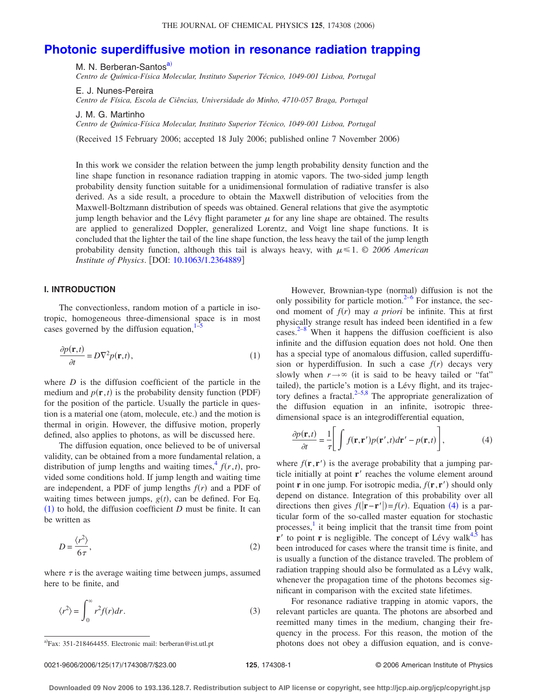# **[Photonic superdiffusive motion in resonance radiation trapping](http://dx.doi.org/10.1063/1.2364889)**

M. N. Berberan-Santos<sup>a)</sup>

*Centro de Química-Física Molecular, Instituto Superior Técnico, 1049-001 Lisboa, Portugal*

E. J. Nunes-Pereira *Centro de Física, Escola de Ciências, Universidade do Minho, 4710-057 Braga, Portugal*

J. M. G. Martinho *Centro de Química-Física Molecular, Instituto Superior Técnico, 1049-001 Lisboa, Portugal*

(Received 15 February 2006; accepted 18 July 2006; published online 7 November 2006)

In this work we consider the relation between the jump length probability density function and the line shape function in resonance radiation trapping in atomic vapors. The two-sided jump length probability density function suitable for a unidimensional formulation of radiative transfer is also derived. As a side result, a procedure to obtain the Maxwell distribution of velocities from the Maxwell-Boltzmann distribution of speeds was obtained. General relations that give the asymptotic jump length behavior and the Lévy flight parameter  $\mu$  for any line shape are obtained. The results are applied to generalized Doppler, generalized Lorentz, and Voigt line shape functions. It is concluded that the lighter the tail of the line shape function, the less heavy the tail of the jump length probability density function, although this tail is always heavy, with  $\mu \leq 1$ . © 2006 American *Institute of Physics.* [DOI: [10.1063/1.2364889](http://dx.doi.org/10.1063/1.2364889)]

### **I. INTRODUCTION**

The convectionless, random motion of a particle in isotropic, homogeneous three-dimensional space is in most cases governed by the diffusion equation, $1-5$  $1-5$ 

<span id="page-0-1"></span>
$$
\frac{\partial p(\mathbf{r},t)}{\partial t} = D\nabla^2 p(\mathbf{r},t),\tag{1}
$$

where *D* is the diffusion coefficient of the particle in the medium and  $p(\mathbf{r},t)$  is the probability density function (PDF) for the position of the particle. Usually the particle in question is a material one (atom, molecule, etc.) and the motion is thermal in origin. However, the diffusive motion, properly defined, also applies to photons, as will be discussed here.

The diffusion equation, once believed to be of universal validity, can be obtained from a more fundamental relation, a distribution of jump lengths and waiting times,  $f(r, t)$ , provided some conditions hold. If jump length and waiting time are independent, a PDF of jump lengths  $f(r)$  and a PDF of waiting times between jumps,  $g(t)$ , can be defined. For Eq.  $(1)$  $(1)$  $(1)$  to hold, the diffusion coefficient *D* must be finite. It can be written as

$$
D = \frac{\langle r^2 \rangle}{6\tau},\tag{2}
$$

where  $\tau$  is the average waiting time between jumps, assumed here to be finite, and

$$
\langle r^2 \rangle = \int_0^\infty r^2 f(r) dr.
$$
 (3)

However, Brownian-type (normal) diffusion is not the only possibility for particle motion.<sup>2[–6](#page-6-4)</sup> For instance, the second moment of  $f(r)$  may *a priori* be infinite. This at first physically strange result has indeed been identified in a few  $\csc^{2-8}$  $\csc^{2-8}$  $\csc^{2-8}$  When it happens the diffusion coefficient is also infinite and the diffusion equation does not hold. One then has a special type of anomalous diffusion, called superdiffusion or hyperdiffusion. In such a case  $f(r)$  decays very slowly when  $r \rightarrow \infty$  (it is said to be heavy tailed or "fat" tailed), the particle's motion is a Lévy flight, and its trajectory defines a fractal. $2-5,8$  $2-5,8$  The appropriate generalization of the diffusion equation in an infinite, isotropic threedimensional space is an integrodifferential equation,

<span id="page-0-2"></span>
$$
\frac{\partial p(\mathbf{r},t)}{\partial t} = \frac{1}{\tau} \Bigg[ \int f(\mathbf{r}, \mathbf{r}') p(\mathbf{r}',t) d\mathbf{r}' - p(\mathbf{r},t) \Bigg],\tag{4}
$$

where  $f(\mathbf{r}, \mathbf{r}')$  is the average probability that a jumping particle initially at point **r**' reaches the volume element around point **r** in one jump. For isotropic media,  $f(\mathbf{r}, \mathbf{r}')$  should only depend on distance. Integration of this probability over all directions then gives  $f(|\mathbf{r} - \mathbf{r}'|) = f(r)$ . Equation ([4](#page-0-2)) is a particular form of the so-called master equation for stochastic processes,<sup>[1](#page-6-0)</sup> it being implicit that the transit time from point  $\mathbf{r}'$  to point **r** is negligible. The concept of Lévy walk<sup>4,[5](#page-6-1)</sup> has been introduced for cases where the transit time is finite, and is usually a function of the distance traveled. The problem of radiation trapping should also be formulated as a Lévy walk, whenever the propagation time of the photons becomes significant in comparison with the excited state lifetimes.

For resonance radiative trapping in atomic vapors, the relevant particles are quanta. The photons are absorbed and reemitted many times in the medium, changing their frequency in the process. For this reason, the motion of the photons does not obey a diffusion equation, and is conve-

<span id="page-0-0"></span>Fax: 351-218464455. Electronic mail: berberan@ist.utl.pt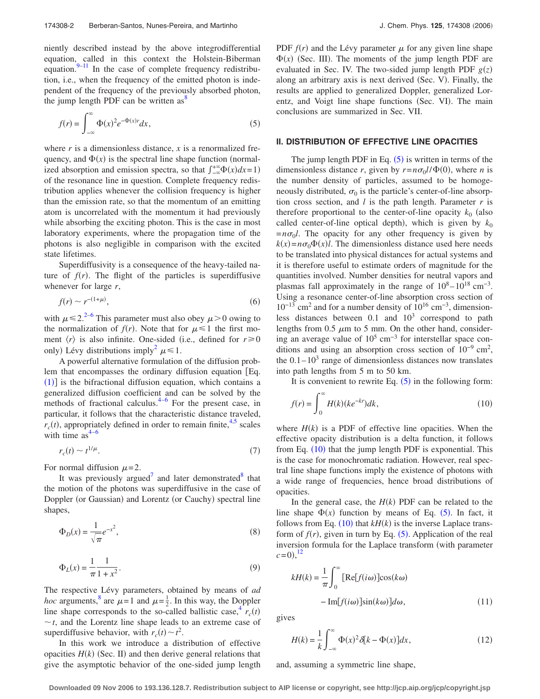niently described instead by the above integrodifferential equation, called in this context the Holstein-Biberman equation. $9-11$  In the case of complete frequency redistribution, i.e., when the frequency of the emitted photon is independent of the frequency of the previously absorbed photon, the jump length PDF can be written as  $8^{\circ}$ 

<span id="page-1-0"></span>
$$
f(r) = \int_{-\infty}^{\infty} \Phi(x)^2 e^{-\Phi(x)r} dx,
$$
 (5)

where  $r$  is a dimensionless distance,  $x$  is a renormalized frequency, and  $\Phi(x)$  is the spectral line shape function (normalized absorption and emission spectra, so that  $\int_{-\infty}^{+\infty} \Phi(x) dx = 1$ of the resonance line in question. Complete frequency redistribution applies whenever the collision frequency is higher than the emission rate, so that the momentum of an emitting atom is uncorrelated with the momentum it had previously while absorbing the exciting photon. This is the case in most laboratory experiments, where the propagation time of the photons is also negligible in comparison with the excited state lifetimes.

Superdiffusivity is a consequence of the heavy-tailed nature of  $f(r)$ . The flight of the particles is superdiffusive whenever for large *r*,

$$
f(r) \sim r^{-(1+\mu)},\tag{6}
$$

<span id="page-1-2"></span>with  $\mu \le 2$ .<sup>2–[6](#page-6-4)</sup> This parameter must also obey  $\mu$  > 0 owing to the normalization of  $f(r)$ . Note that for  $\mu \leq 1$  the first moment  $\langle r \rangle$  is also infinite. One-sided (i.e., defined for  $r \ge 0$ only) Lévy distributions imply<sup>2</sup>  $\mu \le 1$ .

A powerful alternative formulation of the diffusion problem that encompasses the ordinary diffusion equation Eq.  $(1)$  $(1)$  $(1)$ ] is the bifractional diffusion equation, which contains a generalized diffusion coefficient and can be solved by the methods of fractional calculus. $4-6$  $4-6$  For the present case, in particular, it follows that the characteristic distance traveled,  $r_c(t)$ , appropriately defined in order to remain finite,<sup>4,[5](#page-6-1)</sup> scales with time  $as^{4-6}$ 

<span id="page-1-5"></span>
$$
r_c(t) \sim t^{1/\mu}.\tag{7}
$$

For normal diffusion  $\mu$ =2.

It was previously argued<sup>7</sup> and later demonstrated<sup>8</sup> that the motion of the photons was superdiffusive in the case of Doppler (or Gaussian) and Lorentz (or Cauchy) spectral line shapes,

<span id="page-1-4"></span>
$$
\Phi_D(x) = \frac{1}{\sqrt{\pi}} e^{-x^2},\tag{8}
$$

<span id="page-1-3"></span>
$$
\Phi_L(x) = \frac{1}{\pi} \frac{1}{1 + x^2}.
$$
\n(9)

The respective Lévy parameters, obtained by means of *ad hoc* arguments,<sup>8</sup> are  $\mu = 1$  and  $\mu = \frac{1}{2}$ . In this way, the Doppler line shape corresponds to the so-called ballistic case,  $\frac{4}{r_c}(t)$  $\sim t$ , and the Lorentz line shape leads to an extreme case of superdiffusive behavior, with  $r_c(t) \sim t^2$ .

In this work we introduce a distribution of effective opacities  $H(k)$  (Sec. II) and then derive general relations that give the asymptotic behavior of the one-sided jump length

PDF  $f(r)$  and the Lévy parameter  $\mu$  for any given line shape  $\Phi(x)$  (Sec. III). The moments of the jump length PDF are evaluated in Sec. IV. The two-sided jump length PDF  $g(z)$ along an arbitrary axis is next derived (Sec. V). Finally, the results are applied to generalized Doppler, generalized Lorentz, and Voigt line shape functions (Sec. VI). The main conclusions are summarized in Sec. VII.

#### **II. DISTRIBUTION OF EFFECTIVE LINE OPACITIES**

The jump length PDF in Eq.  $(5)$  $(5)$  $(5)$  is written in terms of the dimensionless distance *r*, given by  $r = n\sigma_0 l/\Phi(0)$ , where *n* is the number density of particles, assumed to be homogeneously distributed,  $\sigma_0$  is the particle's center-of-line absorption cross section, and *l* is the path length. Parameter *r* is therefore proportional to the center-of-line opacity  $k_0$  (also called center-of-line optical depth), which is given by  $k_0$  $=n\sigma_0 l$ . The opacity for any other frequency is given by  $k(x) = n\sigma_0 \Phi(x)l$ . The dimensionless distance used here needs to be translated into physical distances for actual systems and it is therefore useful to estimate orders of magnitude for the quantities involved. Number densities for neutral vapors and plasmas fall approximately in the range of  $10^8 - 10^{18}$  cm<sup>-3</sup>. Using a resonance center-of-line absorption cross section of  $10^{-13}$  cm<sup>2</sup> and for a number density of  $10^{16}$  cm<sup>-3</sup>, dimensionless distances between  $0.1$  and  $10<sup>3</sup>$  correspond to path lengths from 0.5  $\mu$ m to 5 mm. On the other hand, considering an average value of  $10^5$  cm<sup>-3</sup> for interstellar space conditions and using an absorption cross section of  $10^{-9}$  cm<sup>2</sup>, the  $0.1-10<sup>3</sup>$  range of dimensionless distances now translates into path lengths from 5 m to 50 km.

It is convenient to rewrite Eq.  $(5)$  $(5)$  $(5)$  in the following form:

<span id="page-1-1"></span>
$$
f(r) = \int_0^\infty H(k)(ke^{-kr})dk,
$$
\n(10)

where  $H(k)$  is a PDF of effective line opacities. When the effective opacity distribution is a delta function, it follows from Eq. ([10](#page-1-1)) that the jump length PDF is exponential. This is the case for monochromatic radiation. However, real spectral line shape functions imply the existence of photons with a wide range of frequencies, hence broad distributions of opacities.

In the general case, the  $H(k)$  PDF can be related to the line shape  $\Phi(x)$  function by means of Eq. ([5](#page-1-0)). In fact, it follows from Eq.  $(10)$  $(10)$  $(10)$  that  $kH(k)$  is the inverse Laplace transform of  $f(r)$ , given in turn by Eq.  $(5)$  $(5)$  $(5)$ . Application of the real inversion formula for the Laplace transform (with parameter  $c=0,$ <sup>[12](#page-6-9)</sup>

$$
kH(k) = \frac{1}{\pi} \int_0^\infty \left[ \text{Re}[f(i\omega)] \cos(k\omega) - \text{Im}[f(i\omega)] \sin(k\omega) \right] d\omega,
$$
\n(11)

gives

$$
H(k) = \frac{1}{k} \int_{-\infty}^{\infty} \Phi(x)^2 \delta[k - \Phi(x)] dx,
$$
 (12)

and, assuming a symmetric line shape,

**Downloaded 09 Nov 2006 to 193.136.128.7. Redistribution subject to AIP license or copyright, see http://jcp.aip.org/jcp/copyright.jsp**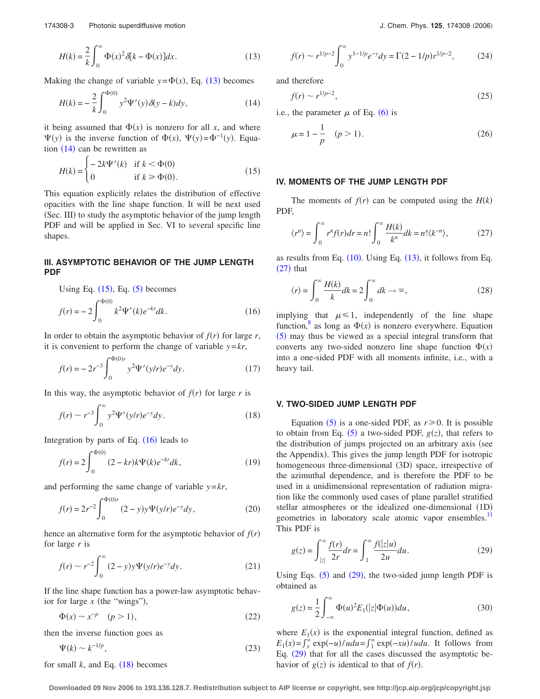<span id="page-2-0"></span>
$$
H(k) = \frac{2}{k} \int_0^\infty \Phi(x)^2 \delta[k - \Phi(x)] dx.
$$
 (13)

<span id="page-2-1"></span>Making the change of variable  $y = \Phi(x)$ , Eq. ([13](#page-2-0)) becomes

$$
H(k) = -\frac{2}{k} \int_0^{\Phi(0)} y^2 \Psi'(y) \delta(y - k) dy,
$$
 (14)

it being assumed that  $\Phi(x)$  is nonzero for all *x*, and where  $\Psi(y)$  is the inverse function of  $\Phi(x)$ ,  $\Psi(y) = \Phi^{-1}(y)$ . Equation  $(14)$  $(14)$  $(14)$  can be rewritten as

<span id="page-2-2"></span>
$$
H(k) = \begin{cases} -2k\Psi'(k) & \text{if } k < \Phi(0) \\ 0 & \text{if } k \ge \Phi(0). \end{cases}
$$
 (15)

This equation explicitly relates the distribution of effective opacities with the line shape function. It will be next used (Sec. III) to study the asymptotic behavior of the jump length PDF and will be applied in Sec. VI to several specific line shapes.

# **III. ASYMPTOTIC BEHAVIOR OF THE JUMP LENGTH PDF**

Using Eq.  $(15)$  $(15)$  $(15)$ , Eq.  $(5)$  $(5)$  $(5)$  becomes

<span id="page-2-3"></span>
$$
f(r) = -2 \int_0^{\Phi(0)} k^2 \Psi'(k) e^{-kr} dk.
$$
 (16)

In order to obtain the asymptotic behavior of  $f(r)$  for large  $r$ , it is convenient to perform the change of variable *y*=*kr*,

$$
f(r) = -2r^{-3} \int_0^{\Phi(0)r} y^2 \Psi'(y/r) e^{-y} dy.
$$
 (17)

In this way, the asymptotic behavior of  $f(r)$  for large  $r$  is

$$
f(r) \sim r^{-3} \int_0^\infty y^2 \Psi'(y/r) e^{-y} dy.
$$
 (18)

Integration by parts of Eq.  $(16)$  $(16)$  $(16)$  leads to

$$
f(r) = 2 \int_0^{\Phi(0)} (2 - kr)k \Psi(k) e^{-kr} dk,
$$
 (19)

and performing the same change of variable *y*=*kr*,

$$
f(r) = 2r^{-2} \int_0^{\Phi(0)r} (2-y)y \Psi(y/r) e^{-y} dy,
$$
 (20)

hence an alternative form for the asymptotic behavior of  $f(r)$ for large *r* is

<span id="page-2-7"></span>
$$
f(r) \sim r^{-2} \int_0^\infty (2 - y) y \Psi(y/r) e^{-y} dy.
$$
 (21)

If the line shape function has a power-law asymptotic behavior for large  $x$  (the "wings"),

$$
\Phi(x) \sim x^{-p} \quad (p > 1),\tag{22}
$$

then the inverse function goes as

$$
\Psi(k) \sim k^{-1/p},\tag{23}
$$

for small  $k$ , and Eq.  $(18)$  $(18)$  $(18)$  becomes

$$
f(r) \sim r^{1/p-2} \int_0^\infty y^{1-1/p} e^{-y} dy = \Gamma(2-1/p) r^{1/p-2},\tag{24}
$$

and therefore

$$
f(r) \sim r^{1/p-2},\tag{25}
$$

<span id="page-2-6"></span>i.e., the parameter  $\mu$  of Eq. ([6](#page-1-2)) is

$$
\mu = 1 - \frac{1}{p} \quad (p > 1). \tag{26}
$$

#### **IV. MOMENTS OF THE JUMP LENGTH PDF**

The moments of  $f(r)$  can be computed using the  $H(k)$ PDF,

<span id="page-2-4"></span>
$$
\langle r^n \rangle = \int_0^\infty r^n f(r) dr = n! \int_0^\infty \frac{H(k)}{k^n} dk = n! \langle k^{-n} \rangle, \tag{27}
$$

as results from Eq.  $(10)$  $(10)$  $(10)$ . Using Eq.  $(13)$  $(13)$  $(13)$ , it follows from Eq.  $(27)$  $(27)$  $(27)$  that

$$
\langle r \rangle = \int_0^\infty \frac{H(k)}{k} dk = 2 \int_0^\infty dk \to \infty, \tag{28}
$$

implying that  $\mu \leq 1$ , independently of the line shape function,  $\frac{8}{3}$  as long as  $\Phi(x)$  is nonzero everywhere. Equation ([5](#page-1-0)) may thus be viewed as a special integral transform that converts any two-sided nonzero line shape function  $\Phi(x)$ into a one-sided PDF with all moments infinite, i.e., with a heavy tail.

## **V. TWO-SIDED JUMP LENGTH PDF**

Equation ([5](#page-1-0)) is a one-sided PDF, as  $r \ge 0$ . It is possible to obtain from Eq.  $(5)$  $(5)$  $(5)$  a two-sided PDF,  $g(z)$ , that refers to the distribution of jumps projected on an arbitrary axis (see the Appendix). This gives the jump length PDF for isotropic homogeneous three-dimensional (3D) space, irrespective of the azimuthal dependence, and is therefore the PDF to be used in a unidimensional representation of radiation migration like the commonly used cases of plane parallel stratified stellar atmospheres or the idealized one-dimensional (1D) geometries in laboratory scale atomic vapor ensembles. This PDF is

<span id="page-2-5"></span>
$$
g(z) = \int_{|z|}^{\infty} \frac{f(r)}{2r} dr = \int_{1}^{\infty} \frac{f(|z|u)}{2u} du.
$$
 (29)

Using Eqs.  $(5)$  $(5)$  $(5)$  and  $(29)$  $(29)$  $(29)$ , the two-sided jump length PDF is obtained as

$$
g(z) = \frac{1}{2} \int_{-\infty}^{\infty} \Phi(u)^{2} E_{1}(|z| \Phi(u)) du,
$$
 (30)

where  $E_1(x)$  is the exponential integral function, defined as  $E_1(x) = \int_x^{\infty} \exp(-u)/u du = \int_1^{\infty} \exp(-xu)/u du$ . It follows from Eq. ([29](#page-2-5)) that for all the cases discussed the asymptotic behavior of  $g(z)$  is identical to that of  $f(r)$ .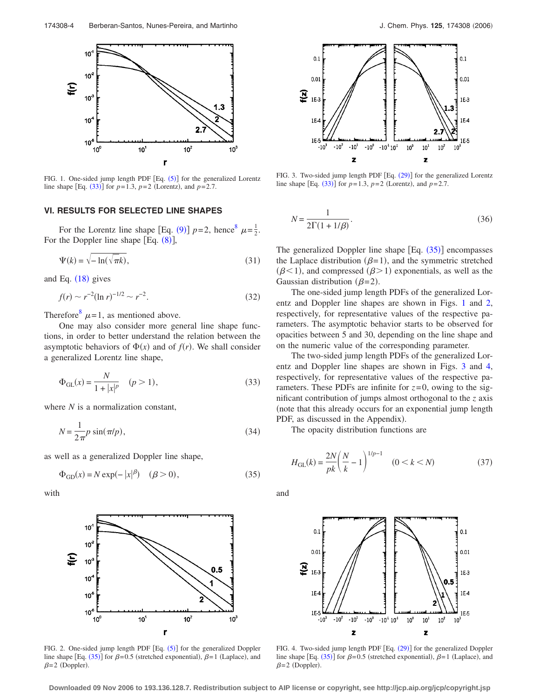<span id="page-3-1"></span>

FIG. 1. One-sided jump length PDF  $[Eq. (5)]$  $[Eq. (5)]$  $[Eq. (5)]$  for the generalized Lorentz line shape [Eq.  $(33)$  $(33)$  $(33)$ ] for  $p=1.3$ ,  $p=2$  (Lorentz), and  $p=2.7$ .

# **VI. RESULTS FOR SELECTED LINE SHAPES**

For the Lorentz line shape [Eq. ([9](#page-1-3))]  $p=2$ , hence<sup>8</sup>  $\mu = \frac{1}{2}$ . For the Doppler line shape  $[Eq. (8)],$  $[Eq. (8)],$  $[Eq. (8)],$ 

$$
\Psi(k) = \sqrt{-\ln(\sqrt{\pi k})},\tag{31}
$$

and Eq.  $(18)$  $(18)$  $(18)$  gives

$$
f(r) \sim r^{-2} (\ln r)^{-1/2} \sim r^{-2}.
$$
 (32)

Therefore<sup>8</sup>  $\mu$ =1, as mentioned above.

One may also consider more general line shape functions, in order to better understand the relation between the asymptotic behaviors of  $\Phi(x)$  and of  $f(r)$ . We shall consider a generalized Lorentz line shape,

<span id="page-3-5"></span>
$$
\Phi_{GL}(x) = \frac{N}{1 + |x|^p} \quad (p > 1),
$$
\n(33)

where *N* is a normalization constant,

$$
N = \frac{1}{2\pi} p \sin(\pi/p),\tag{34}
$$

<span id="page-3-0"></span>as well as a generalized Doppler line shape,

$$
\Phi_{\text{GD}}(x) = N \exp(-|x|^{\beta}) \quad (\beta > 0),\tag{35}
$$

with

<span id="page-3-2"></span>

FIG. 2. One-sided jump length PDF [Eq. ([5](#page-1-0))] for the generalized Doppler line shape [Eq. ([35](#page-3-0))] for  $\beta = 0.5$  (stretched exponential),  $\beta = 1$  (Laplace), and  $\beta = 2$  (Doppler).

<span id="page-3-3"></span>

FIG. 3. Two-sided jump length PDF [Eq. ([29](#page-2-5))] for the generalized Lorentz line shape [Eq.  $(33)$  $(33)$  $(33)$ ] for  $p=1.3$ ,  $p=2$  (Lorentz), and  $p=2.7$ .

<span id="page-3-7"></span>
$$
N = \frac{1}{2\Gamma(1 + 1/\beta)}.\tag{36}
$$

The generalized Doppler line shape  $[Eq. (35)]$  $[Eq. (35)]$  $[Eq. (35)]$  encompasses the Laplace distribution ( $\beta$ =1), and the symmetric stretched  $(\beta < 1)$ , and compressed  $(\beta > 1)$  exponentials, as well as the Gaussian distribution ( $\beta$ =2).

The one-sided jump length PDFs of the generalized Lorentz and Doppler line shapes are shown in Figs. [1](#page-3-1) and [2,](#page-3-2) respectively, for representative values of the respective parameters. The asymptotic behavior starts to be observed for opacities between 5 and 30, depending on the line shape and on the numeric value of the corresponding parameter.

The two-sided jump length PDFs of the generalized Lorentz and Doppler line shapes are shown in Figs. [3](#page-3-3) and [4,](#page-3-4) respectively, for representative values of the respective parameters. These PDFs are infinite for  $z=0$ , owing to the significant contribution of jumps almost orthogonal to the *z* axis note that this already occurs for an exponential jump length PDF, as discussed in the Appendix).

The opacity distribution functions are

<span id="page-3-6"></span>
$$
H_{\text{GL}}(k) = \frac{2N}{pk} \left(\frac{N}{k} - 1\right)^{1/p - 1} \quad (0 < k < N) \tag{37}
$$

and

<span id="page-3-4"></span>

FIG. 4. Two-sided jump length PDF [Eq. ([29](#page-2-5))] for the generalized Doppler line shape [Eq.  $(35)$  $(35)$  $(35)$ ] for  $\beta = 0.5$  (stretched exponential),  $\beta = 1$  (Laplace), and  $\beta = 2$  (Doppler).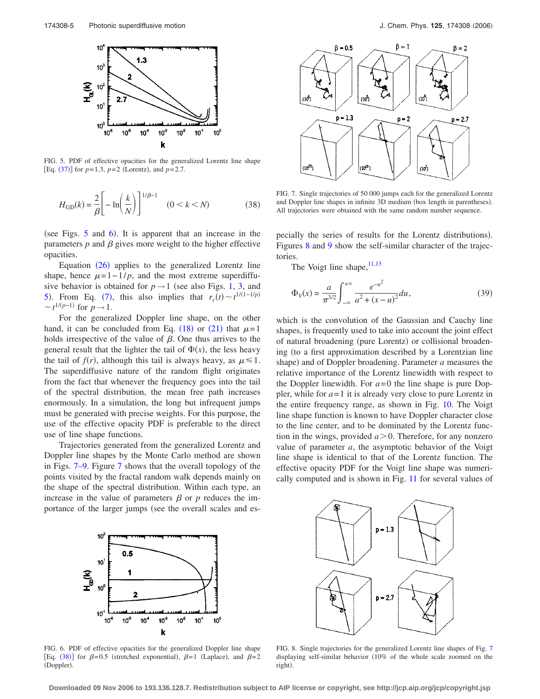<span id="page-4-0"></span>

FIG. 5. PDF of effective opacities for the generalized Lorentz line shape  $[Eq. (37)]$  $[Eq. (37)]$  $[Eq. (37)]$  for  $p=1.3$ ,  $p=2$  (Lorentz), and  $p=2.7$ .

$$
H_{\rm GD}(k) = \frac{2}{\beta} \left[ -\ln \left( \frac{k}{N} \right) \right]^{1/\beta - 1} \quad (0 < k < N) \tag{38}
$$

(see Figs.  $5$  and  $6$ ). It is apparent that an increase in the parameters  $p$  and  $\beta$  gives more weight to the higher effective opacities.

Equation ([26](#page-2-6)) applies to the generalized Lorentz line shape, hence  $\mu=1-1/p$ , and the most extreme superdiffusive behavior is obtained for  $p \rightarrow 1$  (see also Figs. [1,](#page-3-1) [3,](#page-3-3) and [5](#page-4-0)). From Eq. ([7](#page-1-5)), this also implies that  $r_c(t) \sim t^{1/(1-1/p)}$  $\sim t^{1/(p-1)}$  for *p* → 1.

For the generalized Doppler line shape, on the other hand, it can be concluded from Eq. ([18](#page-2-0)) or ([21](#page-2-7)) that  $\mu=1$ holds irrespective of the value of  $\beta$ . One thus arrives to the general result that the lighter the tail of  $\Phi(x)$ , the less heavy the tail of  $f(r)$ , although this tail is always heavy, as  $\mu \leq 1$ . The superdiffusive nature of the random flight originates from the fact that whenever the frequency goes into the tail of the spectral distribution, the mean free path increases enormously. In a simulation, the long but infrequent jumps must be generated with precise weights. For this purpose, the use of the effective opacity PDF is preferable to the direct use of line shape functions.

Trajectories generated from the generalized Lorentz and Doppler line shapes by the Monte Carlo method are shown in Figs. [7–](#page-4-2)[9.](#page-5-0) Figure [7](#page-4-2) shows that the overall topology of the points visited by the fractal random walk depends mainly on the shape of the spectral distribution. Within each type, an increase in the value of parameters  $\beta$  or  $p$  reduces the importance of the larger jumps (see the overall scales and es-

<span id="page-4-2"></span>

FIG. 7. Single trajectories of 50 000 jumps each for the generalized Lorentz and Doppler line shapes in infinite 3D medium (box length in parentheses). All trajectories were obtained with the same random number sequence.

pecially the series of results for the Lorentz distributions). Figures [8](#page-4-3) and [9](#page-5-0) show the self-similar character of the trajectories.

The Voigt line shape,  $11,13$  $11,13$ 

<span id="page-4-4"></span>
$$
\Phi_V(x) = \frac{a}{\pi^{3/2}} \int_{-\infty}^{+\infty} \frac{e^{-u^2}}{a^2 + (x - u)^2} du,
$$
\n(39)

which is the convolution of the Gaussian and Cauchy line shapes, is frequently used to take into account the joint effect of natural broadening (pure Lorentz) or collisional broadening (to a first approximation described by a Lorentzian line shape) and of Doppler broadening. Parameter *a* measures the relative importance of the Lorentz linewidth with respect to the Doppler linewidth. For *a*=0 the line shape is pure Doppler, while for  $a=1$  it is already very close to pure Lorentz in the entire frequency range, as shown in Fig. [10.](#page-5-1) The Voigt line shape function is known to have Doppler character close to the line center, and to be dominated by the Lorentz function in the wings, provided  $a > 0$ . Therefore, for any nonzero value of parameter *a*, the asymptotic behavior of the Voigt line shape is identical to that of the Lorentz function. The effective opacity PDF for the Voigt line shape was numerically computed and is shown in Fig. [11](#page-5-2) for several values of

<span id="page-4-1"></span>

FIG. 6. PDF of effective opacities for the generalized Doppler line shape [Eq. ([38](#page-3-7))] for  $\beta = 0.5$  (stretched exponential),  $\beta = 1$  (Laplace), and  $\beta = 2$ (Doppler).

<span id="page-4-3"></span>

FIG. 8. Single trajectories for the generalized Lorentz line shapes of Fig. [7](#page-4-2) displaying self-similar behavior (10% of the whole scale zoomed on the right).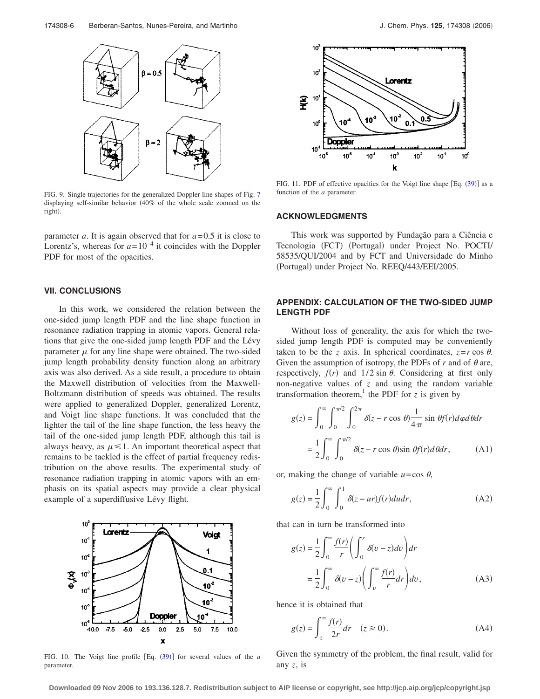<span id="page-5-0"></span>

FIG. 9. Single trajectories for the generalized Doppler line shapes of Fig. [7](#page-4-2) displaying self-similar behavior 40% of the whole scale zoomed on the right).

parameter *a*. It is again observed that for  $a = 0.5$  it is close to Lorentz's, whereas for  $a=10^{-4}$  it coincides with the Doppler PDF for most of the opacities.

### **VII. CONCLUSIONS**

In this work, we considered the relation between the one-sided jump length PDF and the line shape function in resonance radiation trapping in atomic vapors. General relations that give the one-sided jump length PDF and the Lévy parameter  $\mu$  for any line shape were obtained. The two-sided jump length probability density function along an arbitrary axis was also derived. As a side result, a procedure to obtain the Maxwell distribution of velocities from the Maxwell-Boltzmann distribution of speeds was obtained. The results were applied to generalized Doppler, generalized Lorentz, and Voigt line shape functions. It was concluded that the lighter the tail of the line shape function, the less heavy the tail of the one-sided jump length PDF, although this tail is always heavy, as  $\mu \leq 1$ . An important theoretical aspect that remains to be tackled is the effect of partial frequency redistribution on the above results. The experimental study of resonance radiation trapping in atomic vapors with an emphasis on its spatial aspects may provide a clear physical example of a superdiffusive Lévy flight.

<span id="page-5-1"></span>

FIG. 10. The Voigt line profile [Eq. ([39](#page-4-4))] for several values of the *a* parameter.

<span id="page-5-2"></span>

FIG. 11. PDF of effective opacities for the Voigt line shape [Eq. ([39](#page-4-4))] as a function of the *a* parameter.

#### **ACKNOWLEDGMENTS**

This work was supported by Fundação para a Ciência e Tecnologia (FCT) (Portugal) under Project No. POCTI/ 58535/QUI/2004 and by FCT and Universidade do Minho (Portugal) under Project No. REEQ/443/EEI/2005.

#### **APPENDIX: CALCULATION OF THE TWO-SIDED JUMP LENGTH PDF**

Without loss of generality, the axis for which the twosided jump length PDF is computed may be conveniently taken to be the *z* axis. In spherical coordinates,  $z = r \cos \theta$ . Given the assumption of isotropy, the PDFs of  $r$  and of  $\theta$  are, respectively,  $f(r)$  and  $1/2 \sin \theta$ . Considering at first only non-negative values of *z* and using the random variable transformation theorem,<sup>1</sup> the PDF for  $\zeta$  is given by

$$
g(z) = \int_0^\infty \int_0^{\pi/2} \int_0^{2\pi} \delta(z - r \cos \theta) \frac{1}{4\pi} \sin \theta f(r) d\varphi d\theta dr
$$

$$
= \frac{1}{2} \int_0^\infty \int_0^{\pi/2} \delta(z - r \cos \theta) \sin \theta f(r) d\theta dr, \qquad (A1)
$$

or, making the change of variable  $u = \cos \theta$ ,

$$
g(z) = \frac{1}{2} \int_0^\infty \int_0^1 \delta(z - ur) f(r) du dr,
$$
 (A2)

that can in turn be transformed into

$$
g(z) = \frac{1}{2} \int_0^\infty \frac{f(r)}{r} \left( \int_0^r \delta(v - z) dv \right) dr
$$
  
= 
$$
\frac{1}{2} \int_0^\infty \delta(v - z) \left( \int_v^\infty \frac{f(r)}{r} dr \right) dv,
$$
 (A3)

hence it is obtained that

$$
g(z) = \int_{z}^{\infty} \frac{f(r)}{2r} dr \quad (z \ge 0).
$$
 (A4)

Given the symmetry of the problem, the final result, valid for any *z*, is